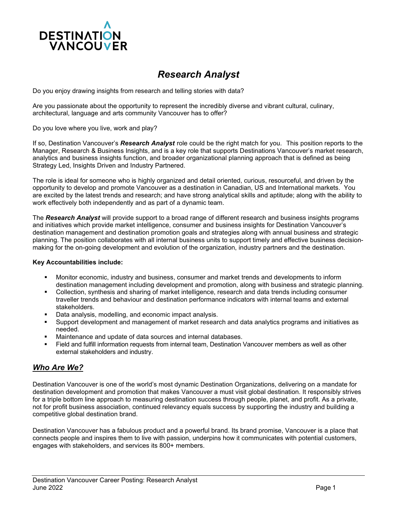

# *Research Analyst*

Do you enjoy drawing insights from research and telling stories with data?

Are you passionate about the opportunity to represent the incredibly diverse and vibrant cultural, culinary, architectural, language and arts community Vancouver has to offer?

Do you love where you live, work and play?

If so, Destination Vancouver's *Research Analyst* role could be the right match for you. This position reports to the Manager, Research & Business Insights, and is a key role that supports Destinations Vancouver's market research, analytics and business insights function, and broader organizational planning approach that is defined as being Strategy Led, Insights Driven and Industry Partnered.

The role is ideal for someone who is highly organized and detail oriented, curious, resourceful, and driven by the opportunity to develop and promote Vancouver as a destination in Canadian, US and International markets. You are excited by the latest trends and research; and have strong analytical skills and aptitude; along with the ability to work effectively both independently and as part of a dynamic team.

The *Research Analyst* will provide support to a broad range of different research and business insights programs and initiatives which provide market intelligence, consumer and business insights for Destination Vancouver's destination management and destination promotion goals and strategies along with annual business and strategic planning. The position collaborates with all internal business units to support timely and effective business decisionmaking for the on-going development and evolution of the organization, industry partners and the destination.

#### **Key Accountabilities include:**

- Monitor economic, industry and business, consumer and market trends and developments to inform destination management including development and promotion, along with business and strategic planning.
- Collection, synthesis and sharing of market intelligence, research and data trends including consumer traveller trends and behaviour and destination performance indicators with internal teams and external stakeholders.
- Data analysis, modelling, and economic impact analysis.
- Support development and management of market research and data analytics programs and initiatives as needed.
- Maintenance and update of data sources and internal databases.
- Field and fulfill information requests from internal team, Destination Vancouver members as well as other external stakeholders and industry.

### *Who Are We?*

Destination Vancouver is one of the world's most dynamic Destination Organizations, delivering on a mandate for destination development and promotion that makes Vancouver a must visit global destination. It responsibly strives for a triple bottom line approach to measuring destination success through people, planet, and profit. As a private, not for profit business association, continued relevancy equals success by supporting the industry and building a competitive global destination brand.

Destination Vancouver has a fabulous product and a powerful brand. Its brand promise, Vancouver is a place that connects people and inspires them to live with passion, underpins how it communicates with potential customers, engages with stakeholders, and services its 800+ members.